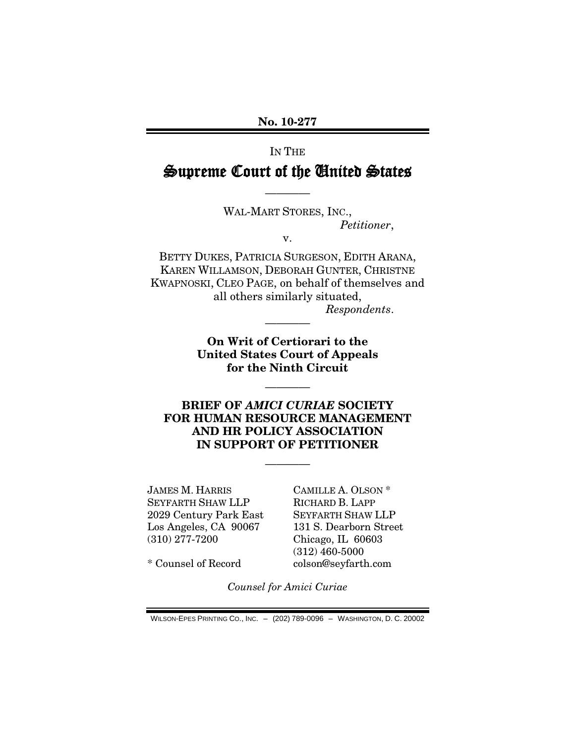**No. 10-277**

# IN THE Supreme Court of the United States

————

WAL-MART STORES, INC., *Petitioner*,

v.

BETTY DUKES, PATRICIA SURGESON, EDITH ARANA, KAREN WILLAMSON, DEBORAH GUNTER, CHRISTNE KWAPNOSKI, CLEO PAGE, on behalf of themselves and all others similarly situated, *Respondents*.

> **On Writ of Certiorari to the United States Court of Appeals for the Ninth Circuit**

> > ————

————

### **BRIEF OF** *AMICI CURIAE* **SOCIETY FOR HUMAN RESOURCE MANAGEMENT AND HR POLICY ASSOCIATION IN SUPPORT OF PETITIONER**

————

JAMES M. HARRIS SEYFARTH SHAW LLP 2029 Century Park East Los Angeles, CA 90067 (310) 277-7200

CAMILLE A. OLSON \* RICHARD B. LAPP SEYFARTH SHAW LLP 131 S. Dearborn Street Chicago, IL 60603 (312) 460-5000 colson@seyfarth.com

\* Counsel of Record

*Counsel for Amici Curiae*

WILSON-EPES PRINTING CO., INC. – (202) 789-0096 – WASHINGTON, D. C. 20002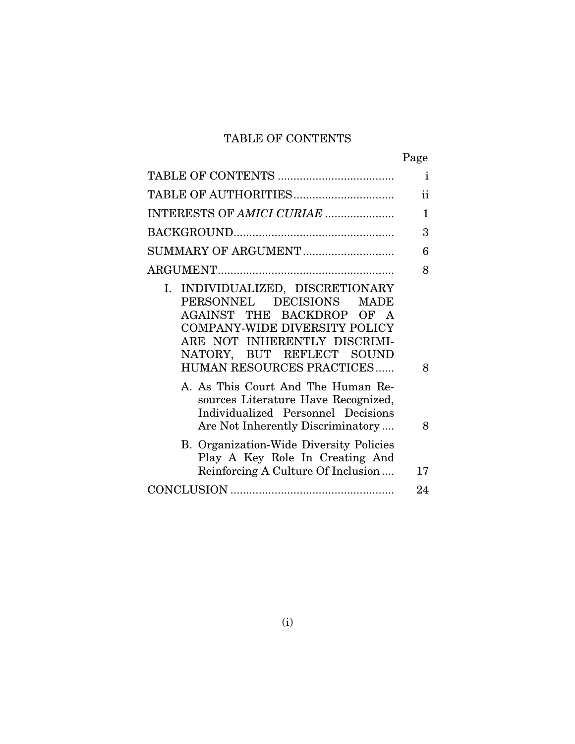## TABLE OF CONTENTS

|--|

|                                                                                                                                                                                                                                              | $\mathbf{i}$ |
|----------------------------------------------------------------------------------------------------------------------------------------------------------------------------------------------------------------------------------------------|--------------|
| TABLE OF AUTHORITIES                                                                                                                                                                                                                         | ii           |
| INTERESTS OF AMICI CURIAE                                                                                                                                                                                                                    | $\mathbf{1}$ |
|                                                                                                                                                                                                                                              | 3            |
| SUMMARY OF ARGUMENT                                                                                                                                                                                                                          | 6            |
|                                                                                                                                                                                                                                              | 8            |
| I. INDIVIDUALIZED, DISCRETIONARY<br>PERSONNEL DECISIONS<br><b>MADE</b><br>AGAINST THE BACKDROP OF A<br><b>COMPANY-WIDE DIVERSITY POLICY</b><br>ARE NOT INHERENTLY DISCRIMI-<br>NATORY, BUT REFLECT SOUND<br><b>HUMAN RESOURCES PRACTICES</b> | 8            |
| A. As This Court And The Human Re-<br>sources Literature Have Recognized,<br>Individualized Personnel Decisions<br>Are Not Inherently Discriminatory                                                                                         | 8            |
| <b>B.</b> Organization-Wide Diversity Policies<br>Play A Key Role In Creating And<br>Reinforcing A Culture Of Inclusion                                                                                                                      | 17           |
|                                                                                                                                                                                                                                              | 24           |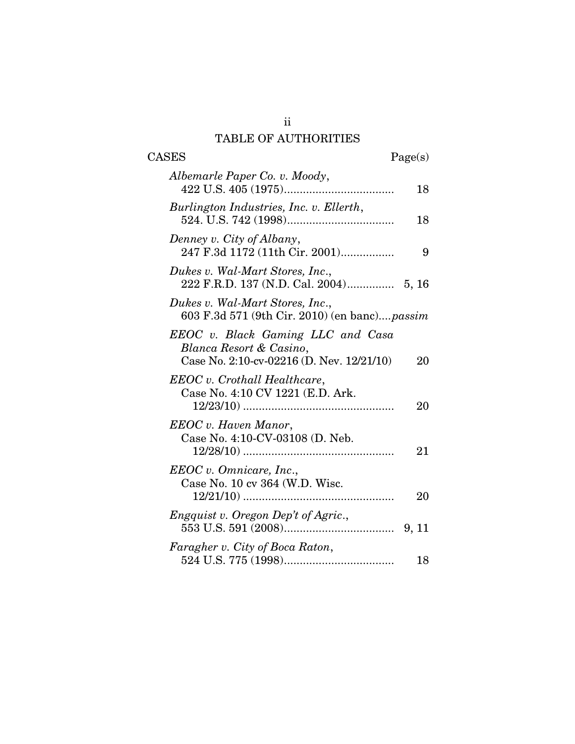# TABLE OF AUTHORITIES

| <b>CASES</b>                                                                                              | Page(s) |
|-----------------------------------------------------------------------------------------------------------|---------|
| Albemarle Paper Co. v. Moody,                                                                             | 18      |
| Burlington Industries, Inc. v. Ellerth,                                                                   | 18      |
| Denney v. City of Albany,<br>247 F.3d 1172 (11th Cir. 2001)                                               | 9       |
| Dukes v. Wal-Mart Stores, Inc.,                                                                           |         |
| Dukes v. Wal-Mart Stores, Inc.,<br>603 F.3d 571 (9th Cir. 2010) (en banc) passim                          |         |
| EEOC v. Black Gaming LLC and Casa<br>Blanca Resort & Casino,<br>Case No. 2:10-cv-02216 (D. Nev. 12/21/10) | 20      |
| EEOC v. Crothall Healthcare,<br>Case No. 4:10 CV 1221 (E.D. Ark.                                          | 20      |
| EEOC v. Haven Manor,<br>Case No. 4:10-CV-03108 (D. Neb.                                                   | 21      |
| EEOC v. Omnicare, Inc.,<br>Case No. 10 cv 364 (W.D. Wisc.                                                 | 20      |
| <i>Engquist v. Oregon Dep't of Agric.,</i>                                                                |         |
| Faragher v. City of Boca Raton,                                                                           | 18      |

ii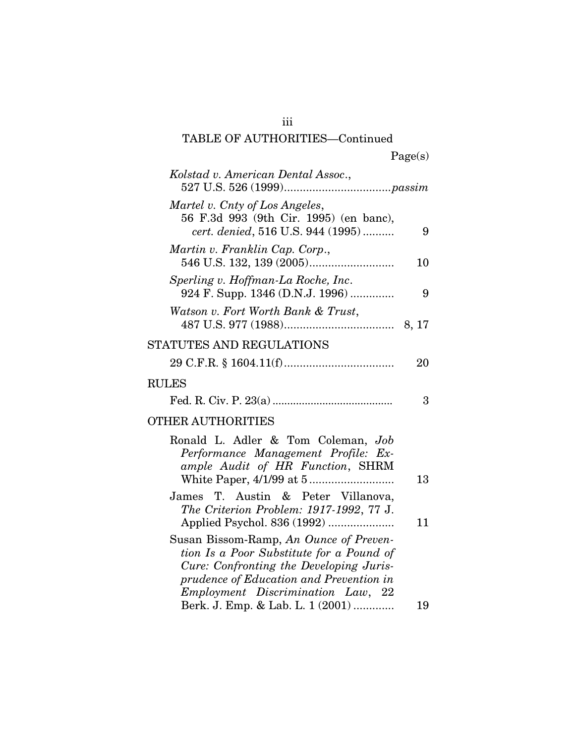| σeι<br>. . | s |
|------------|---|
|            |   |

| Kolstad v. American Dental Assoc.,                                                                                                                                                                            |    |
|---------------------------------------------------------------------------------------------------------------------------------------------------------------------------------------------------------------|----|
| Martel v. Cnty of Los Angeles,<br>56 F.3d 993 (9th Cir. 1995) (en banc),<br>cert. denied, 516 U.S. 944 (1995)                                                                                                 | 9  |
| Martin v. Franklin Cap. Corp.,                                                                                                                                                                                | 10 |
| Sperling v. Hoffman-La Roche, Inc.<br>924 F. Supp. 1346 (D.N.J. 1996)                                                                                                                                         | 9  |
| Watson v. Fort Worth Bank & Trust,                                                                                                                                                                            |    |
| STATUTES AND REGULATIONS                                                                                                                                                                                      |    |
|                                                                                                                                                                                                               | 20 |
| <b>RULES</b>                                                                                                                                                                                                  |    |
|                                                                                                                                                                                                               | 3  |
| <b>OTHER AUTHORITIES</b>                                                                                                                                                                                      |    |
| Ronald L. Adler & Tom Coleman, Job<br>Performance Management Profile: Ex-<br>ample Audit of HR Function, SHRM                                                                                                 | 13 |
| James T. Austin & Peter Villanova,<br>The Criterion Problem: 1917-1992, 77 J.<br>Applied Psychol. 836 (1992)                                                                                                  | 11 |
| Susan Bissom-Ramp, An Ounce of Preven-<br>tion Is a Poor Substitute for a Pound of<br>Cure: Confronting the Developing Juris-<br>prudence of Education and Prevention in<br>Employment Discrimination Law, 22 |    |
| Berk. J. Emp. & Lab. L. 1 (2001)                                                                                                                                                                              | 19 |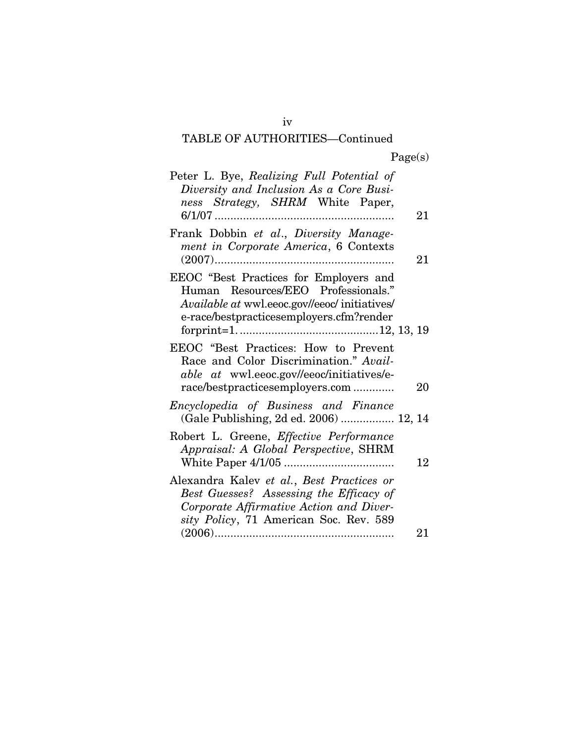| Page(s) |  |  |
|---------|--|--|
|         |  |  |

| Peter L. Bye, Realizing Full Potential of<br>Diversity and Inclusion As a Core Busi-<br>ness Strategy, SHRM White Paper,                                                          | 21 |
|-----------------------------------------------------------------------------------------------------------------------------------------------------------------------------------|----|
| Frank Dobbin et al., Diversity Manage-<br>ment in Corporate America, 6 Contexts                                                                                                   | 21 |
| EEOC "Best Practices for Employers and<br>Human Resources/EEO Professionals."<br><i>Available at wwl.eeoc.gov//eeoc/ initiatives/</i><br>e-race/bestpracticesemployers.cfm?render |    |
| EEOC "Best Practices: How to Prevent<br>Race and Color Discrimination." Avail-<br><i>able at wwl.eeoc.gov//eeoc/initiatives/e-</i><br>race/bestpracticesemployers.com             | 20 |
| Encyclopedia of Business and Finance<br>(Gale Publishing, 2d ed. 2006)  12, 14                                                                                                    |    |
| Robert L. Greene, Effective Performance<br>Appraisal: A Global Perspective, SHRM                                                                                                  | 12 |
| Alexandra Kalev et al., Best Practices or<br>Best Guesses? Assessing the Efficacy of<br>Corporate Affirmative Action and Diver-<br>sity Policy, 71 American Soc. Rev. 589         |    |
|                                                                                                                                                                                   | 21 |

iv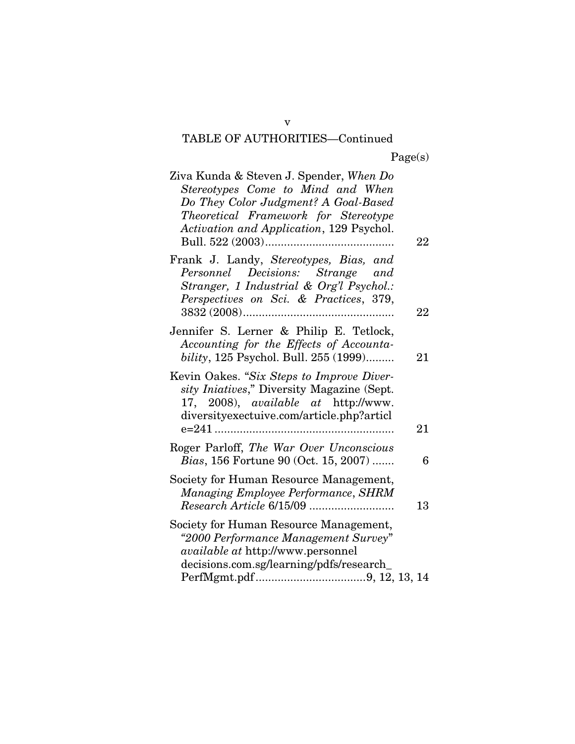| Ziva Kunda & Steven J. Spender, When Do<br>Stereotypes Come to Mind and When<br>Do They Color Judgment? A Goal-Based<br>Theoretical Framework for Stereotype<br>Activation and Application, 129 Psychol. | 22     |
|----------------------------------------------------------------------------------------------------------------------------------------------------------------------------------------------------------|--------|
| Frank J. Landy, Stereotypes, Bias, and<br>Personnel Decisions: Strange and<br>Stranger, 1 Industrial & Org'l Psychol.:<br>Perspectives on Sci. & Practices, 379,                                         | $22\,$ |
| Jennifer S. Lerner & Philip E. Tetlock,<br>Accounting for the Effects of Accounta-<br>bility, 125 Psychol. Bull. 255 (1999)                                                                              | 21     |
| Kevin Oakes. "Six Steps to Improve Diver-<br>sity Iniatives," Diversity Magazine (Sept.<br>17, 2008), <i>available at</i> http://www.<br>diversityexectuive.com/article.php?articl                       | 21     |
| Roger Parloff, The War Over Unconscious<br>Bias, 156 Fortune 90 (Oct. 15, 2007)                                                                                                                          | 6      |
| Society for Human Resource Management,<br>Managing Employee Performance, SHRM                                                                                                                            | 13     |
| Society for Human Resource Management,<br>"2000 Performance Management Survey"<br><i>available at http://www.personnel</i><br>decisions.com.sg/learning/pdfs/research_                                   |        |

v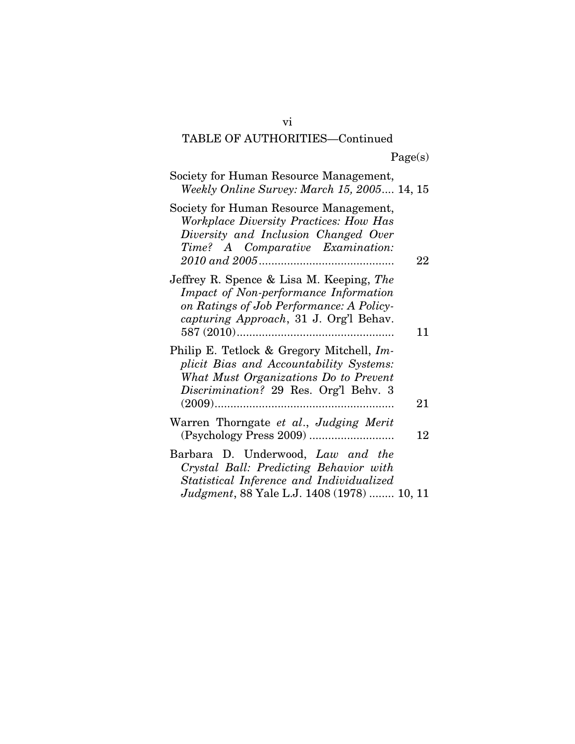Page(s)

| Society for Human Resource Management,<br>Weekly Online Survey: March 15, 2005 14, 15                                                                                   |    |
|-------------------------------------------------------------------------------------------------------------------------------------------------------------------------|----|
| Society for Human Resource Management,<br>Workplace Diversity Practices: How Has<br>Diversity and Inclusion Changed Over<br>Time? A Comparative Examination:            | 22 |
| Jeffrey R. Spence & Lisa M. Keeping, The<br>Impact of Non-performance Information<br>on Ratings of Job Performance: A Policy-<br>capturing Approach, 31 J. Org'l Behav. | 11 |
| Philip E. Tetlock & Gregory Mitchell, Im-<br>plicit Bias and Accountability Systems:<br>What Must Organizations Do to Prevent<br>Discrimination? 29 Res. Org'l Behv. 3  | 21 |
| Warren Thorngate et al., Judging Merit                                                                                                                                  | 12 |
| Barbara D. Underwood, Law and the<br>Crystal Ball: Predicting Behavior with<br>Statistical Inference and Individualized<br>Judgment, 88 Yale L.J. 1408 (1978)  10, 11   |    |

vi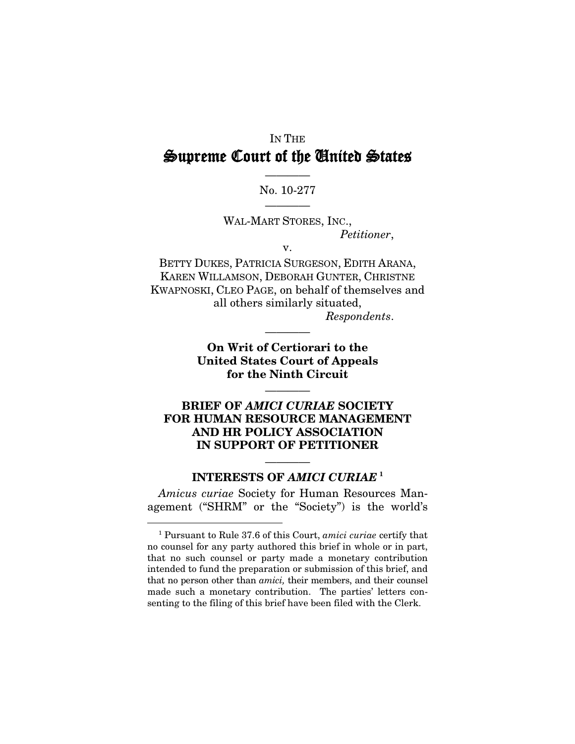## IN THE Supreme Court of the United States

### ———— No. 10-277 ————

WAL-MART STORES, INC., *Petitioner*,

v.

BETTY DUKES, PATRICIA SURGESON, EDITH ARANA, KAREN WILLAMSON, DEBORAH GUNTER, CHRISTNE KWAPNOSKI, CLEO PAGE, on behalf of themselves and all others similarly situated,

*Respondents*.

**On Writ of Certiorari to the United States Court of Appeals for the Ninth Circuit**

————

————

### **BRIEF OF** *AMICI CURIAE* **SOCIETY FOR HUMAN RESOURCE MANAGEMENT AND HR POLICY ASSOCIATION IN SUPPORT OF PETITIONER**

### ———— **INTERESTS OF** *AMICI CURIAE* **[1](#page-7-0)**

*Amicus curiae* Society for Human Resources Management ("SHRM" or the "Society") is the world's

<span id="page-7-0"></span> <sup>1</sup> Pursuant to Rule 37.6 of this Court, *amici curiae* certify that no counsel for any party authored this brief in whole or in part, that no such counsel or party made a monetary contribution intended to fund the preparation or submission of this brief, and that no person other than *amici,* their members, and their counsel made such a monetary contribution. The parties' letters consenting to the filing of this brief have been filed with the Clerk.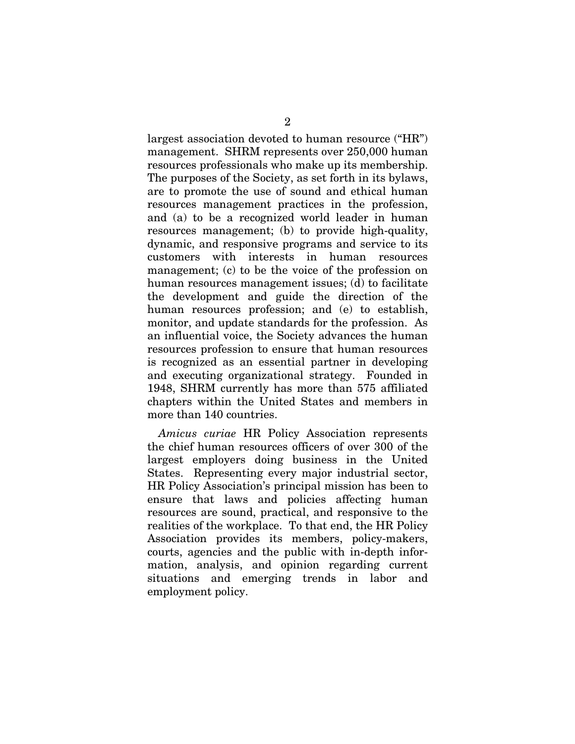largest association devoted to human resource ("HR") management. SHRM represents over 250,000 human resources professionals who make up its membership. The purposes of the Society, as set forth in its bylaws, are to promote the use of sound and ethical human resources management practices in the profession, and (a) to be a recognized world leader in human resources management; (b) to provide high-quality, dynamic, and responsive programs and service to its customers with interests in human resources management; (c) to be the voice of the profession on human resources management issues; (d) to facilitate the development and guide the direction of the human resources profession; and (e) to establish, monitor, and update standards for the profession. As an influential voice, the Society advances the human resources profession to ensure that human resources is recognized as an essential partner in developing and executing organizational strategy. Founded in 1948, SHRM currently has more than 575 affiliated chapters within the United States and members in more than 140 countries.

*Amicus curiae* HR Policy Association represents the chief human resources officers of over 300 of the largest employers doing business in the United States. Representing every major industrial sector, HR Policy Association's principal mission has been to ensure that laws and policies affecting human resources are sound, practical, and responsive to the realities of the workplace. To that end, the HR Policy Association provides its members, policy-makers, courts, agencies and the public with in-depth information, analysis, and opinion regarding current situations and emerging trends in labor and employment policy.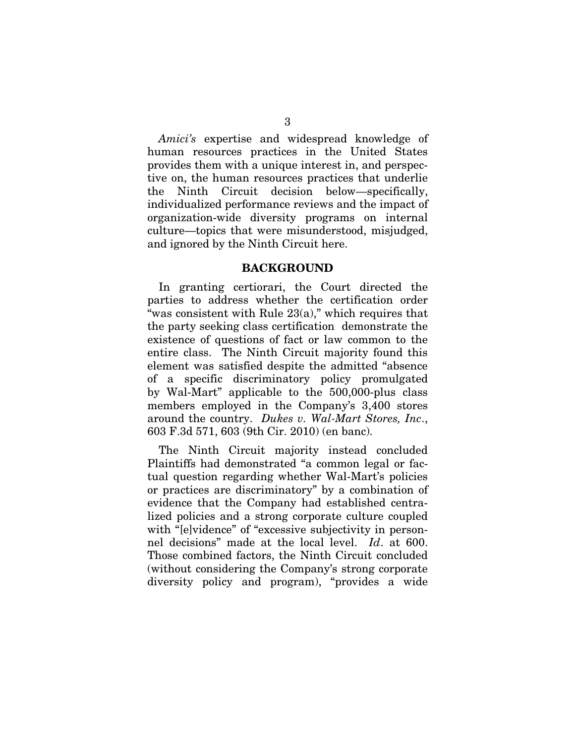*Amici's* expertise and widespread knowledge of human resources practices in the United States provides them with a unique interest in, and perspective on, the human resources practices that underlie the Ninth Circuit decision below—specifically, individualized performance reviews and the impact of organization-wide diversity programs on internal culture—topics that were misunderstood, misjudged, and ignored by the Ninth Circuit here.

#### **BACKGROUND**

In granting certiorari, the Court directed the parties to address whether the certification order "was consistent with Rule 23(a)," which requires that the party seeking class certification demonstrate the existence of questions of fact or law common to the entire class. The Ninth Circuit majority found this element was satisfied despite the admitted "absence of a specific discriminatory policy promulgated by Wal-Mart" applicable to the 500,000-plus class members employed in the Company's 3,400 stores around the country. *Dukes v. Wal-Mart Stores, Inc*., 603 F.3d 571, 603 (9th Cir. 2010) (en banc).

The Ninth Circuit majority instead concluded Plaintiffs had demonstrated "a common legal or factual question regarding whether Wal-Mart's policies or practices are discriminatory" by a combination of evidence that the Company had established centralized policies and a strong corporate culture coupled with "[e]vidence" of "excessive subjectivity in personnel decisions" made at the local level. *Id*. at 600. Those combined factors, the Ninth Circuit concluded (without considering the Company's strong corporate diversity policy and program), "provides a wide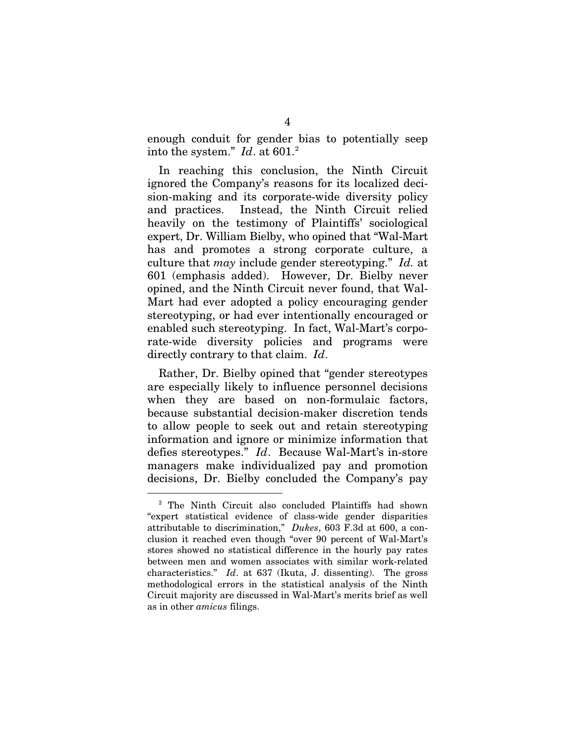enough conduit for gender bias to potentially seep into the system."  $Id.$  at 601.<sup>2</sup>

In reaching this conclusion, the Ninth Circuit ignored the Company's reasons for its localized decision-making and its corporate-wide diversity policy and practices. Instead, the Ninth Circuit relied heavily on the testimony of Plaintiffs' sociological expert, Dr. William Bielby, who opined that "Wal-Mart has and promotes a strong corporate culture, a culture that *may* include gender stereotyping." *Id.* at 601 (emphasis added). However, Dr. Bielby never opined, and the Ninth Circuit never found, that Wal-Mart had ever adopted a policy encouraging gender stereotyping, or had ever intentionally encouraged or enabled such stereotyping. In fact, Wal-Mart's corporate-wide diversity policies and programs were directly contrary to that claim. *Id*.

Rather, Dr. Bielby opined that "gender stereotypes are especially likely to influence personnel decisions when they are based on non-formulaic factors, because substantial decision-maker discretion tends to allow people to seek out and retain stereotyping information and ignore or minimize information that defies stereotypes." *Id*. Because Wal-Mart's in-store managers make individualized pay and promotion decisions, Dr. Bielby concluded the Company's pay

<span id="page-10-0"></span> <sup>2</sup> The Ninth Circuit also concluded Plaintiffs had shown "expert statistical evidence of class-wide gender disparities attributable to discrimination," *Dukes*, 603 F.3d at 600, a conclusion it reached even though "over 90 percent of Wal-Mart's stores showed no statistical difference in the hourly pay rates between men and women associates with similar work-related characteristics." *Id*. at 637 (Ikuta, J. dissenting). The gross methodological errors in the statistical analysis of the Ninth Circuit majority are discussed in Wal-Mart's merits brief as well as in other *amicus* filings.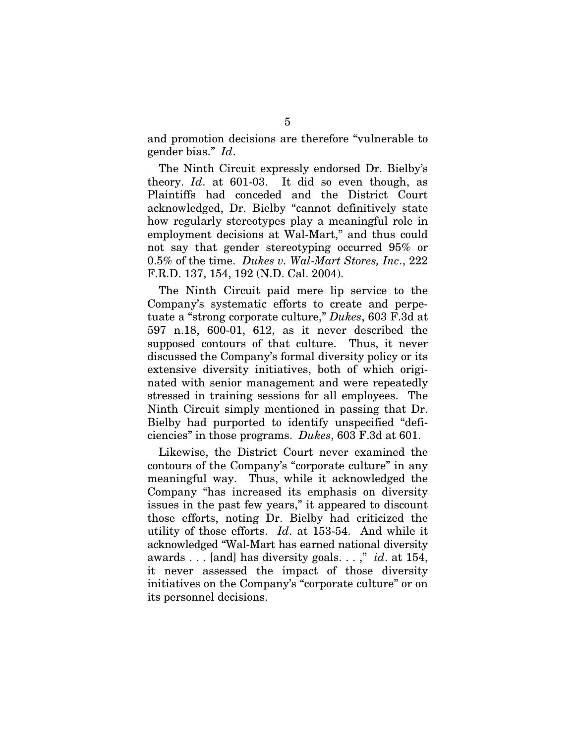and promotion decisions are therefore "vulnerable to gender bias." *Id*.

The Ninth Circuit expressly endorsed Dr. Bielby's theory. *Id*. at 601-03. It did so even though, as Plaintiffs had conceded and the District Court acknowledged, Dr. Bielby "cannot definitively state how regularly stereotypes play a meaningful role in employment decisions at Wal-Mart," and thus could not say that gender stereotyping occurred 95% or 0.5% of the time. *Dukes v. Wal-Mart Stores, Inc*., 222 F.R.D. 137, 154, 192 (N.D. Cal. 2004).

The Ninth Circuit paid mere lip service to the Company's systematic efforts to create and perpetuate a "strong corporate culture," *Dukes*, 603 F.3d at 597 n.18, 600-01, 612, as it never described the supposed contours of that culture. Thus, it never discussed the Company's formal diversity policy or its extensive diversity initiatives, both of which originated with senior management and were repeatedly stressed in training sessions for all employees. The Ninth Circuit simply mentioned in passing that Dr. Bielby had purported to identify unspecified "deficiencies" in those programs. *Dukes*, 603 F.3d at 601.

Likewise, the District Court never examined the contours of the Company's "corporate culture" in any meaningful way. Thus, while it acknowledged the Company "has increased its emphasis on diversity issues in the past few years," it appeared to discount those efforts, noting Dr. Bielby had criticized the utility of those efforts. *Id*. at 153-54. And while it acknowledged "Wal-Mart has earned national diversity awards . . . [and] has diversity goals. . . ," *id*. at 154, it never assessed the impact of those diversity initiatives on the Company's "corporate culture" or on its personnel decisions.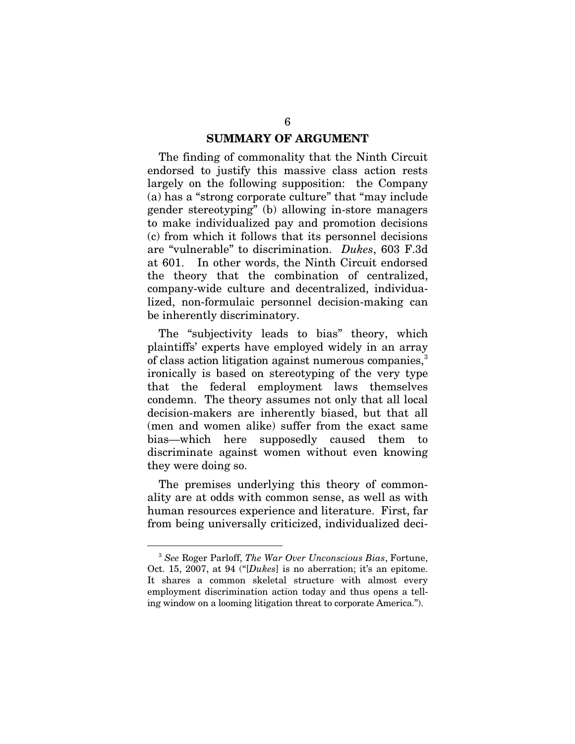#### **SUMMARY OF ARGUMENT**

The finding of commonality that the Ninth Circuit endorsed to justify this massive class action rests largely on the following supposition: the Company (a) has a "strong corporate culture" that "may include gender stereotyping" (b) allowing in-store managers to make individualized pay and promotion decisions (c) from which it follows that its personnel decisions are "vulnerable" to discrimination. *Dukes*, 603 F.3d at 601. In other words, the Ninth Circuit endorsed the theory that the combination of centralized, company-wide culture and decentralized, individualized, non-formulaic personnel decision-making can be inherently discriminatory.

The "subjectivity leads to bias" theory, which plaintiffs' experts have employed widely in an array of class action litigation against numerous companies,<sup>[3](#page-12-0)</sup> ironically is based on stereotyping of the very type that the federal employment laws themselves condemn. The theory assumes not only that all local decision-makers are inherently biased, but that all (men and women alike) suffer from the exact same bias—which here supposedly caused them to discriminate against women without even knowing they were doing so.

The premises underlying this theory of commonality are at odds with common sense, as well as with human resources experience and literature. First, far from being universally criticized, individualized deci-

<span id="page-12-0"></span> <sup>3</sup> *See* Roger Parloff, *The War Over Unconscious Bias*, Fortune, Oct. 15, 2007, at 94 ("[*Dukes*] is no aberration; it's an epitome. It shares a common skeletal structure with almost every employment discrimination action today and thus opens a telling window on a looming litigation threat to corporate America.").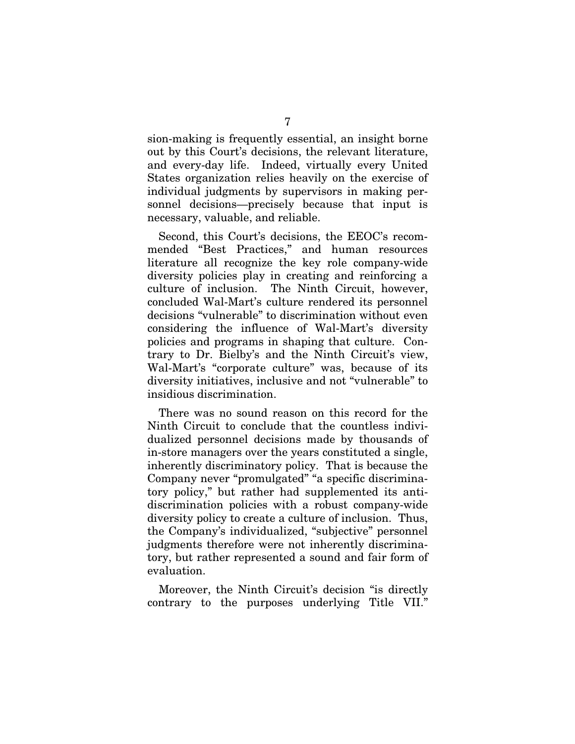sion-making is frequently essential, an insight borne out by this Court's decisions, the relevant literature, and every-day life. Indeed, virtually every United States organization relies heavily on the exercise of individual judgments by supervisors in making personnel decisions—precisely because that input is necessary, valuable, and reliable.

Second, this Court's decisions, the EEOC's recommended "Best Practices," and human resources literature all recognize the key role company-wide diversity policies play in creating and reinforcing a culture of inclusion. The Ninth Circuit, however, concluded Wal-Mart's culture rendered its personnel decisions "vulnerable" to discrimination without even considering the influence of Wal-Mart's diversity policies and programs in shaping that culture. Contrary to Dr. Bielby's and the Ninth Circuit's view, Wal-Mart's "corporate culture" was, because of its diversity initiatives, inclusive and not "vulnerable" to insidious discrimination.

There was no sound reason on this record for the Ninth Circuit to conclude that the countless individualized personnel decisions made by thousands of in-store managers over the years constituted a single, inherently discriminatory policy. That is because the Company never "promulgated" "a specific discriminatory policy," but rather had supplemented its antidiscrimination policies with a robust company-wide diversity policy to create a culture of inclusion. Thus, the Company's individualized, "subjective" personnel judgments therefore were not inherently discriminatory, but rather represented a sound and fair form of evaluation.

Moreover, the Ninth Circuit's decision "is directly contrary to the purposes underlying Title VII."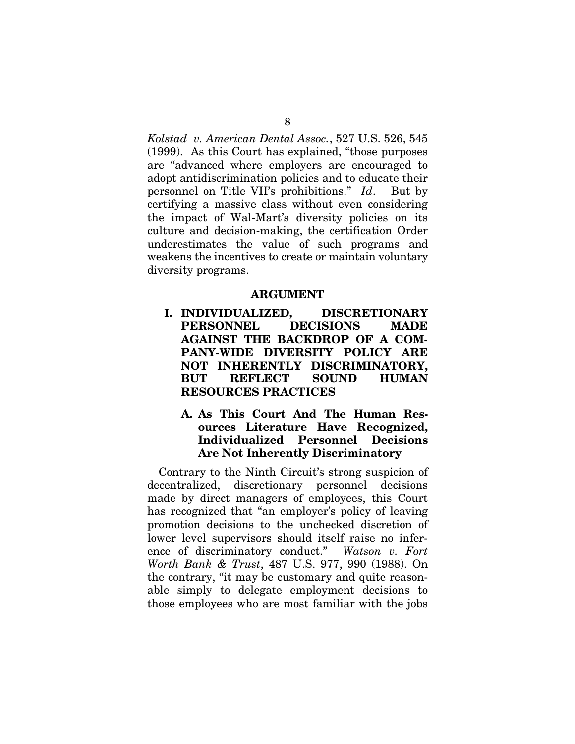*Kolstad v. American Dental Assoc.*, 527 U.S. 526, 545 (1999). As this Court has explained, "those purposes are "advanced where employers are encouraged to adopt antidiscrimination policies and to educate their personnel on Title VII's prohibitions." *Id*. But by certifying a massive class without even considering the impact of Wal-Mart's diversity policies on its culture and decision-making, the certification Order underestimates the value of such programs and weakens the incentives to create or maintain voluntary diversity programs.

#### **ARGUMENT**

- **I. INDIVIDUALIZED, DISCRETIONARY PERSONNEL DECISIONS MADE AGAINST THE BACKDROP OF A COM-PANY-WIDE DIVERSITY POLICY ARE NOT INHERENTLY DISCRIMINATORY, BUT REFLECT SOUND HUMAN RESOURCES PRACTICES**
	- **A. As This Court And The Human Resources Literature Have Recognized, Individualized Personnel Decisions Are Not Inherently Discriminatory**

Contrary to the Ninth Circuit's strong suspicion of decentralized, discretionary personnel decisions made by direct managers of employees, this Court has recognized that "an employer's policy of leaving promotion decisions to the unchecked discretion of lower level supervisors should itself raise no inference of discriminatory conduct." *Watson v. Fort Worth Bank & Trust*, 487 U.S. 977, 990 (1988). On the contrary, "it may be customary and quite reasonable simply to delegate employment decisions to those employees who are most familiar with the jobs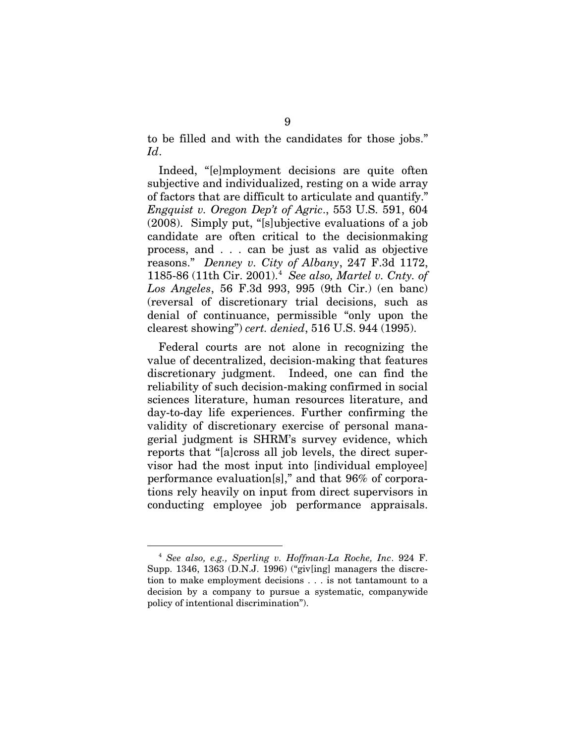to be filled and with the candidates for those jobs." *Id*.

Indeed, "[e]mployment decisions are quite often subjective and individualized, resting on a wide array of factors that are difficult to articulate and quantify." *Engquist v. Oregon Dep't of Agric*., 553 U.S. 591, 604 (2008). Simply put, "[s]ubjective evaluations of a job candidate are often critical to the decisionmaking process, and . . . can be just as valid as objective reasons." *Denney v. City of Albany*, 247 F.3d 1172, 1185-86 (11th Cir. 2001).[4](#page-15-0) *See also, Martel v. Cnty. of Los Angeles*, 56 F.3d 993, 995 (9th Cir.) (en banc) (reversal of discretionary trial decisions, such as denial of continuance, permissible "only upon the clearest showing") *cert. denied*, 516 U.S. 944 (1995).

Federal courts are not alone in recognizing the value of decentralized, decision-making that features discretionary judgment. Indeed, one can find the reliability of such decision-making confirmed in social sciences literature, human resources literature, and day-to-day life experiences. Further confirming the validity of discretionary exercise of personal managerial judgment is SHRM's survey evidence, which reports that "[a]cross all job levels, the direct supervisor had the most input into [individual employee] performance evaluation[s]," and that 96% of corporations rely heavily on input from direct supervisors in conducting employee job performance appraisals.

<span id="page-15-0"></span> <sup>4</sup> *See also, e.g., Sperling v. Hoffman-La Roche, Inc*. 924 F. Supp. 1346, 1363 (D.N.J. 1996) ("giv[ing] managers the discretion to make employment decisions . . . is not tantamount to a decision by a company to pursue a systematic, companywide policy of intentional discrimination").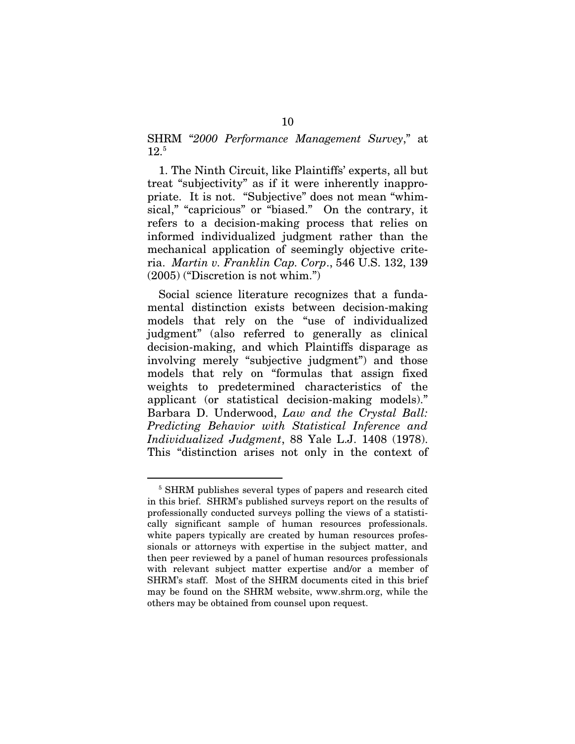SHRM "*2000 Performance Management Survey*," at  $12^{5}$  $12^{5}$  $12^{5}$ 

1. The Ninth Circuit, like Plaintiffs' experts, all but treat "subjectivity" as if it were inherently inappropriate. It is not. "Subjective" does not mean "whimsical," "capricious" or "biased." On the contrary, it refers to a decision-making process that relies on informed individualized judgment rather than the mechanical application of seemingly objective criteria. *Martin v. Franklin Cap. Corp*., 546 U.S. 132, 139 (2005) ("Discretion is not whim.")

Social science literature recognizes that a fundamental distinction exists between decision-making models that rely on the "use of individualized judgment" (also referred to generally as clinical decision-making, and which Plaintiffs disparage as involving merely "subjective judgment") and those models that rely on "formulas that assign fixed weights to predetermined characteristics of the applicant (or statistical decision-making models)." Barbara D. Underwood, *Law and the Crystal Ball: Predicting Behavior with Statistical Inference and Individualized Judgment*, 88 Yale L.J. 1408 (1978). This "distinction arises not only in the context of

<span id="page-16-0"></span><sup>&</sup>lt;sup>5</sup> SHRM publishes several types of papers and research cited in this brief. SHRM's published surveys report on the results of professionally conducted surveys polling the views of a statistically significant sample of human resources professionals. white papers typically are created by human resources professionals or attorneys with expertise in the subject matter, and then peer reviewed by a panel of human resources professionals with relevant subject matter expertise and/or a member of SHRM's staff. Most of the SHRM documents cited in this brief may be found on the SHRM website, www.shrm.org, while the others may be obtained from counsel upon request.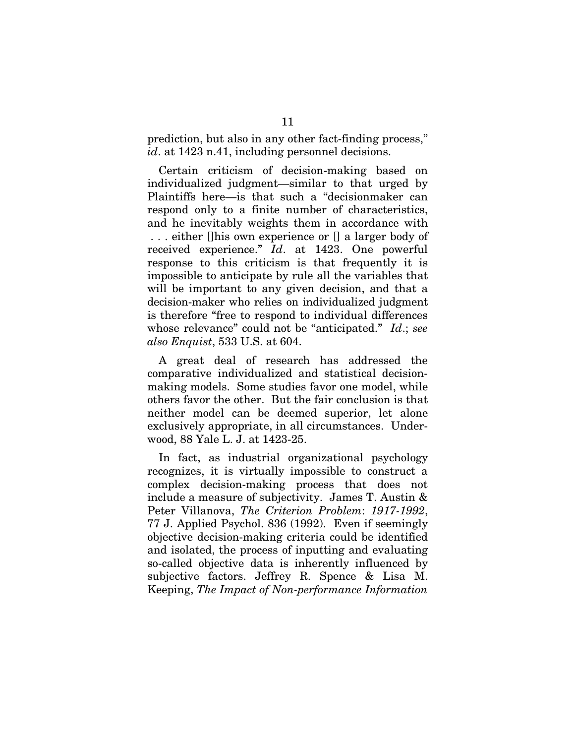prediction, but also in any other fact-finding process," id. at 1423 n.41, including personnel decisions.

Certain criticism of decision-making based on individualized judgment—similar to that urged by Plaintiffs here—is that such a "decisionmaker can respond only to a finite number of characteristics, and he inevitably weights them in accordance with . . . either []his own experience or [] a larger body of received experience." *Id*. at 1423. One powerful response to this criticism is that frequently it is impossible to anticipate by rule all the variables that will be important to any given decision, and that a decision-maker who relies on individualized judgment is therefore "free to respond to individual differences whose relevance" could not be "anticipated." *Id*.; *see also Enquist*, 533 U.S. at 604.

A great deal of research has addressed the comparative individualized and statistical decisionmaking models. Some studies favor one model, while others favor the other. But the fair conclusion is that neither model can be deemed superior, let alone exclusively appropriate, in all circumstances. Underwood, 88 Yale L. J. at 1423-25.

In fact, as industrial organizational psychology recognizes, it is virtually impossible to construct a complex decision-making process that does not include a measure of subjectivity. James T. Austin & Peter Villanova, *The Criterion Problem*: *1917-1992*, 77 J. Applied Psychol. 836 (1992). Even if seemingly objective decision-making criteria could be identified and isolated, the process of inputting and evaluating so-called objective data is inherently influenced by subjective factors. Jeffrey R. Spence & Lisa M. Keeping, *The Impact of Non-performance Information*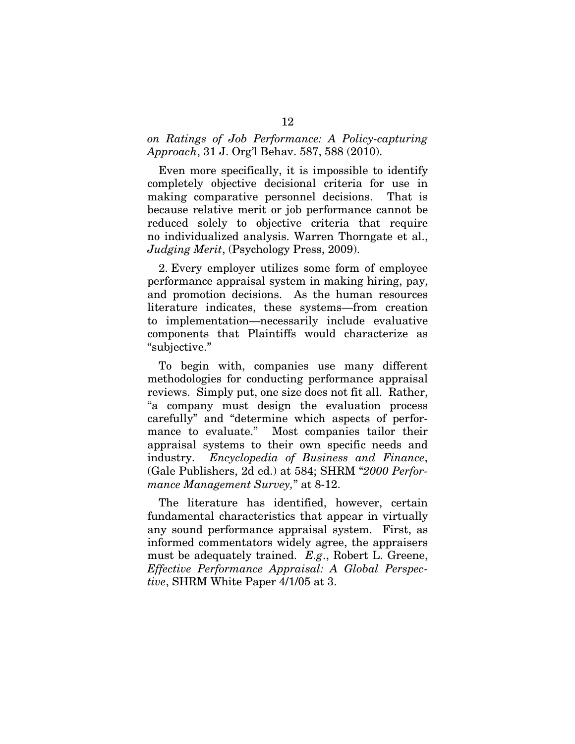#### *on Ratings of Job Performance: A Policy-capturing Approach*, 31 J. Org'l Behav. 587, 588 (2010).

Even more specifically, it is impossible to identify completely objective decisional criteria for use in making comparative personnel decisions. That is because relative merit or job performance cannot be reduced solely to objective criteria that require no individualized analysis. Warren Thorngate et al., *Judging Merit*, (Psychology Press, 2009).

2. Every employer utilizes some form of employee performance appraisal system in making hiring, pay, and promotion decisions. As the human resources literature indicates, these systems—from creation to implementation—necessarily include evaluative components that Plaintiffs would characterize as "subjective."

To begin with, companies use many different methodologies for conducting performance appraisal reviews. Simply put, one size does not fit all. Rather, "a company must design the evaluation process carefully" and "determine which aspects of performance to evaluate." Most companies tailor their appraisal systems to their own specific needs and industry. *Encyclopedia of Business and Finance*, (Gale Publishers, 2d ed.) at 584; SHRM "*2000 Performance Management Survey,*" at 8-12.

The literature has identified, however, certain fundamental characteristics that appear in virtually any sound performance appraisal system. First, as informed commentators widely agree, the appraisers must be adequately trained. *E.g*., Robert L. Greene, *Effective Performance Appraisal: A Global Perspective*, SHRM White Paper 4/1/05 at 3.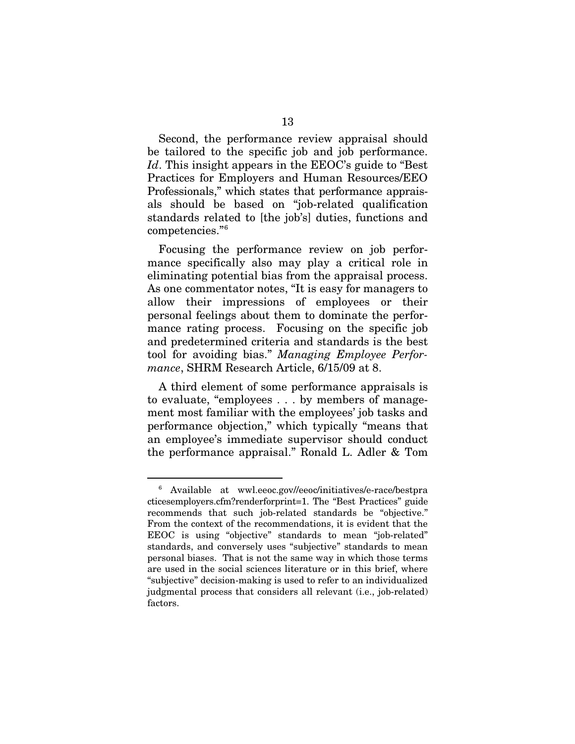Second, the performance review appraisal should be tailored to the specific job and job performance. *Id*. This insight appears in the EEOC's guide to "Best Practices for Employers and Human Resources/EEO Professionals," which states that performance appraisals should be based on "job-related qualification standards related to [the job's] duties, functions and competencies."[6](#page-19-0)

Focusing the performance review on job performance specifically also may play a critical role in eliminating potential bias from the appraisal process. As one commentator notes, "It is easy for managers to allow their impressions of employees or their personal feelings about them to dominate the performance rating process. Focusing on the specific job and predetermined criteria and standards is the best tool for avoiding bias." *Managing Employee Performance*, SHRM Research Article, 6/15/09 at 8.

A third element of some performance appraisals is to evaluate, "employees . . . by members of management most familiar with the employees' job tasks and performance objection," which typically "means that an employee's immediate supervisor should conduct the performance appraisal." Ronald L. Adler & Tom

<span id="page-19-0"></span> <sup>6</sup> Available at wwl.eeoc.gov//eeoc/initiatives/e-race/bestpra cticesemployers.cfm?renderforprint=1. The "Best Practices" guide recommends that such job-related standards be "objective." From the context of the recommendations, it is evident that the EEOC is using "objective" standards to mean "job-related" standards, and conversely uses "subjective" standards to mean personal biases. That is not the same way in which those terms are used in the social sciences literature or in this brief, where "subjective" decision-making is used to refer to an individualized judgmental process that considers all relevant (i.e., job-related) factors.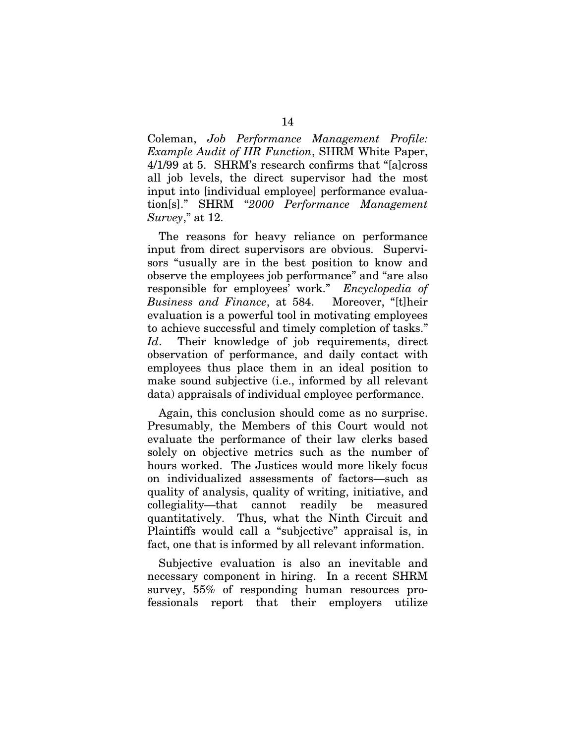Coleman, *Job Performance Management Profile: Example Audit of HR Function*, SHRM White Paper, 4/1/99 at 5. SHRM's research confirms that "[a]cross all job levels, the direct supervisor had the most input into [individual employee] performance evaluation[s]." SHRM "*2000 Performance Management Survey*," at 12.

The reasons for heavy reliance on performance input from direct supervisors are obvious. Supervisors "usually are in the best position to know and observe the employees job performance" and "are also responsible for employees' work." *Encyclopedia of Business and Finance*, at 584. Moreover, "[t]heir evaluation is a powerful tool in motivating employees to achieve successful and timely completion of tasks." *Id*. Their knowledge of job requirements, direct observation of performance, and daily contact with employees thus place them in an ideal position to make sound subjective (i.e., informed by all relevant data) appraisals of individual employee performance.

Again, this conclusion should come as no surprise. Presumably, the Members of this Court would not evaluate the performance of their law clerks based solely on objective metrics such as the number of hours worked. The Justices would more likely focus on individualized assessments of factors—such as quality of analysis, quality of writing, initiative, and collegiality—that cannot readily be measured quantitatively. Thus, what the Ninth Circuit and Plaintiffs would call a "subjective" appraisal is, in fact, one that is informed by all relevant information.

Subjective evaluation is also an inevitable and necessary component in hiring. In a recent SHRM survey, 55% of responding human resources professionals report that their employers utilize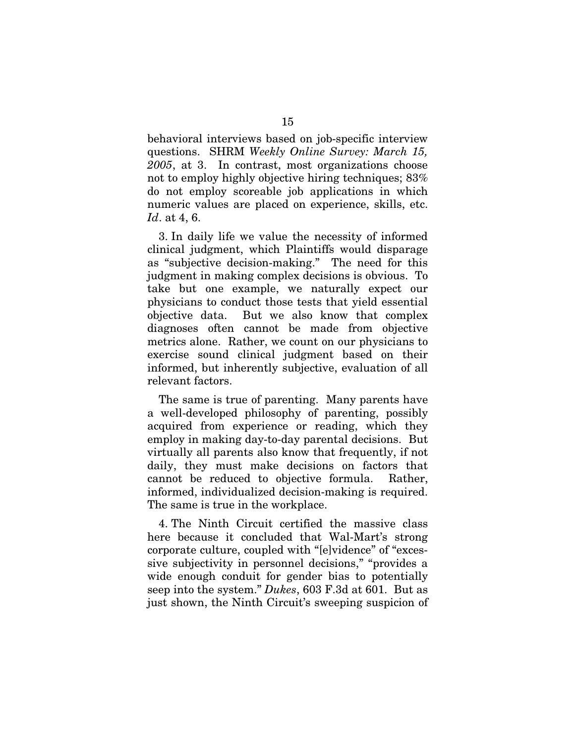behavioral interviews based on job-specific interview questions. SHRM *Weekly Online Survey: March 15, 2005*, at 3. In contrast, most organizations choose not to employ highly objective hiring techniques; 83% do not employ scoreable job applications in which numeric values are placed on experience, skills, etc. *Id*. at 4, 6.

3. In daily life we value the necessity of informed clinical judgment, which Plaintiffs would disparage as "subjective decision-making." The need for this judgment in making complex decisions is obvious. To take but one example, we naturally expect our physicians to conduct those tests that yield essential objective data. But we also know that complex diagnoses often cannot be made from objective metrics alone. Rather, we count on our physicians to exercise sound clinical judgment based on their informed, but inherently subjective, evaluation of all relevant factors.

The same is true of parenting. Many parents have a well-developed philosophy of parenting, possibly acquired from experience or reading, which they employ in making day-to-day parental decisions. But virtually all parents also know that frequently, if not daily, they must make decisions on factors that cannot be reduced to objective formula. Rather, informed, individualized decision-making is required. The same is true in the workplace.

4. The Ninth Circuit certified the massive class here because it concluded that Wal-Mart's strong corporate culture, coupled with "[e]vidence" of "excessive subjectivity in personnel decisions," "provides a wide enough conduit for gender bias to potentially seep into the system." *Dukes*, 603 F.3d at 601. But as just shown, the Ninth Circuit's sweeping suspicion of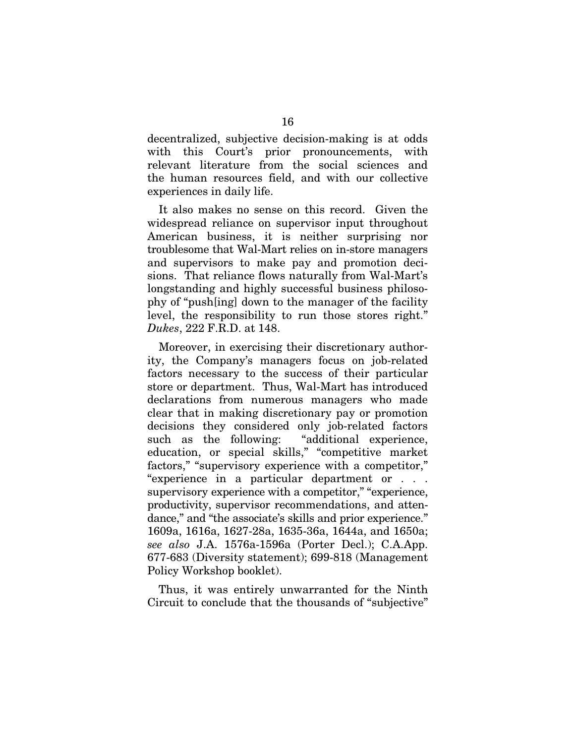decentralized, subjective decision-making is at odds with this Court's prior pronouncements, with relevant literature from the social sciences and the human resources field, and with our collective experiences in daily life.

It also makes no sense on this record. Given the widespread reliance on supervisor input throughout American business, it is neither surprising nor troublesome that Wal-Mart relies on in-store managers and supervisors to make pay and promotion decisions. That reliance flows naturally from Wal-Mart's longstanding and highly successful business philosophy of "push[ing] down to the manager of the facility level, the responsibility to run those stores right." *Dukes*, 222 F.R.D. at 148.

Moreover, in exercising their discretionary authority, the Company's managers focus on job-related factors necessary to the success of their particular store or department. Thus, Wal-Mart has introduced declarations from numerous managers who made clear that in making discretionary pay or promotion decisions they considered only job-related factors such as the following: "additional experience, education, or special skills," "competitive market factors," "supervisory experience with a competitor," "experience in a particular department or . . . supervisory experience with a competitor," "experience, productivity, supervisor recommendations, and attendance," and "the associate's skills and prior experience." 1609a, 1616a, 1627-28a, 1635-36a, 1644a, and 1650a; *see also* J.A. 1576a-1596a (Porter Decl.); C.A.App. 677-683 (Diversity statement); 699-818 (Management Policy Workshop booklet).

Thus, it was entirely unwarranted for the Ninth Circuit to conclude that the thousands of "subjective"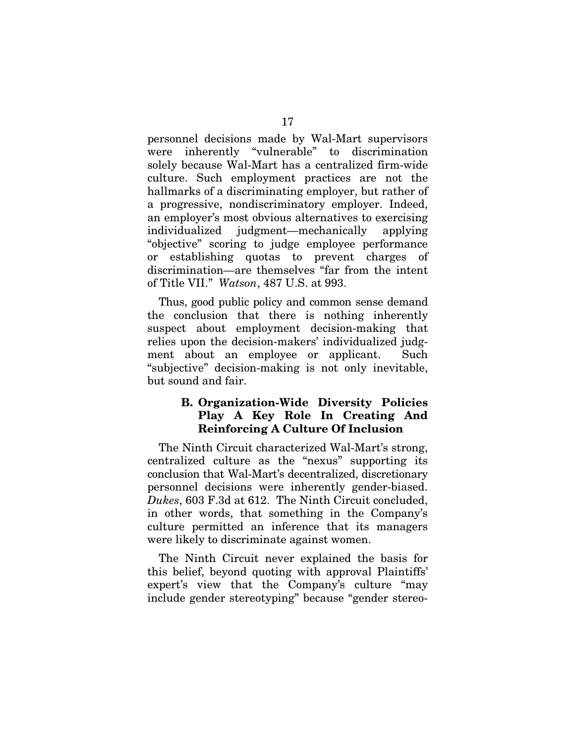personnel decisions made by Wal-Mart supervisors were inherently "vulnerable" to discrimination solely because Wal-Mart has a centralized firm-wide culture. Such employment practices are not the hallmarks of a discriminating employer, but rather of a progressive, nondiscriminatory employer. Indeed, an employer's most obvious alternatives to exercising individualized judgment—mechanically applying "objective" scoring to judge employee performance or establishing quotas to prevent charges of discrimination—are themselves "far from the intent of Title VII." *Watson*, 487 U.S. at 993.

Thus, good public policy and common sense demand the conclusion that there is nothing inherently suspect about employment decision-making that relies upon the decision-makers' individualized judgment about an employee or applicant. Such "subjective" decision-making is not only inevitable, but sound and fair.

### **B. Organization-Wide Diversity Policies Play A Key Role In Creating And Reinforcing A Culture Of Inclusion**

The Ninth Circuit characterized Wal-Mart's strong, centralized culture as the "nexus" supporting its conclusion that Wal-Mart's decentralized, discretionary personnel decisions were inherently gender-biased. *Dukes*, 603 F.3d at 612. The Ninth Circuit concluded, in other words, that something in the Company's culture permitted an inference that its managers were likely to discriminate against women.

The Ninth Circuit never explained the basis for this belief, beyond quoting with approval Plaintiffs' expert's view that the Company's culture "may include gender stereotyping" because "gender stereo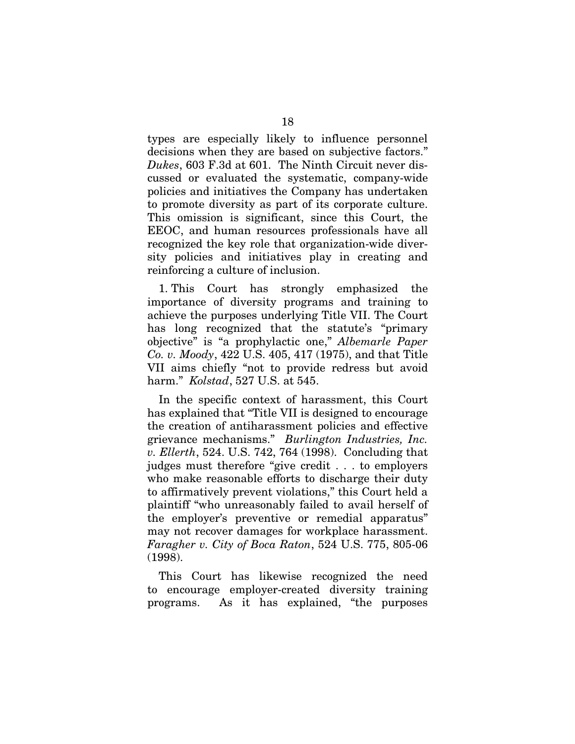types are especially likely to influence personnel decisions when they are based on subjective factors." *Dukes*, 603 F.3d at 601. The Ninth Circuit never discussed or evaluated the systematic, company-wide policies and initiatives the Company has undertaken to promote diversity as part of its corporate culture. This omission is significant, since this Court, the EEOC, and human resources professionals have all recognized the key role that organization-wide diversity policies and initiatives play in creating and reinforcing a culture of inclusion.

1. This Court has strongly emphasized the importance of diversity programs and training to achieve the purposes underlying Title VII. The Court has long recognized that the statute's "primary objective" is "a prophylactic one," *Albemarle Paper Co. v. Moody*, 422 U.S. 405, 417 (1975), and that Title VII aims chiefly "not to provide redress but avoid harm." *Kolstad*, 527 U.S. at 545.

In the specific context of harassment, this Court has explained that "Title VII is designed to encourage the creation of antiharassment policies and effective grievance mechanisms." *Burlington Industries, Inc. v. Ellerth*, 524. U.S. 742, 764 (1998). Concluding that judges must therefore "give credit . . . to employers who make reasonable efforts to discharge their duty to affirmatively prevent violations," this Court held a plaintiff "who unreasonably failed to avail herself of the employer's preventive or remedial apparatus" may not recover damages for workplace harassment. *Faragher v. City of Boca Raton*, 524 U.S. 775, 805-06 (1998).

This Court has likewise recognized the need to encourage employer-created diversity training programs. As it has explained, "the purposes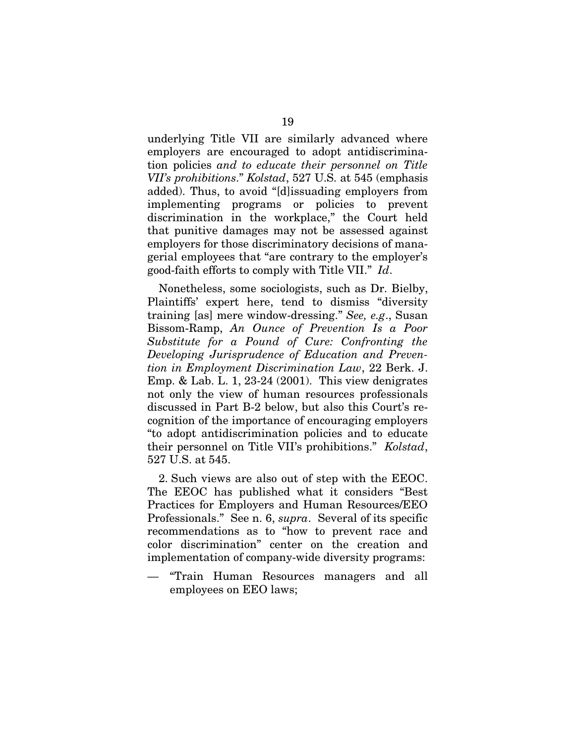underlying Title VII are similarly advanced where employers are encouraged to adopt antidiscrimination policies *and to educate their personnel on Title VII's prohibitions*." *Kolstad*, 527 U.S. at 545 (emphasis added). Thus, to avoid "[d]issuading employers from implementing programs or policies to prevent discrimination in the workplace," the Court held that punitive damages may not be assessed against employers for those discriminatory decisions of managerial employees that "are contrary to the employer's good-faith efforts to comply with Title VII." *Id*.

Nonetheless, some sociologists, such as Dr. Bielby, Plaintiffs' expert here, tend to dismiss "diversity training [as] mere window-dressing." *See, e.g*., Susan Bissom-Ramp, *An Ounce of Prevention Is a Poor Substitute for a Pound of Cure: Confronting the Developing Jurisprudence of Education and Prevention in Employment Discrimination Law*, 22 Berk. J. Emp. & Lab. L. 1, 23-24 (2001). This view denigrates not only the view of human resources professionals discussed in Part B-2 below, but also this Court's recognition of the importance of encouraging employers "to adopt antidiscrimination policies and to educate their personnel on Title VII's prohibitions." *Kolstad*, 527 U.S. at 545.

2. Such views are also out of step with the EEOC. The EEOC has published what it considers "Best Practices for Employers and Human Resources/EEO Professionals." See n. 6, *supra*. Several of its specific recommendations as to "how to prevent race and color discrimination" center on the creation and implementation of company-wide diversity programs:

— "Train Human Resources managers and all employees on EEO laws;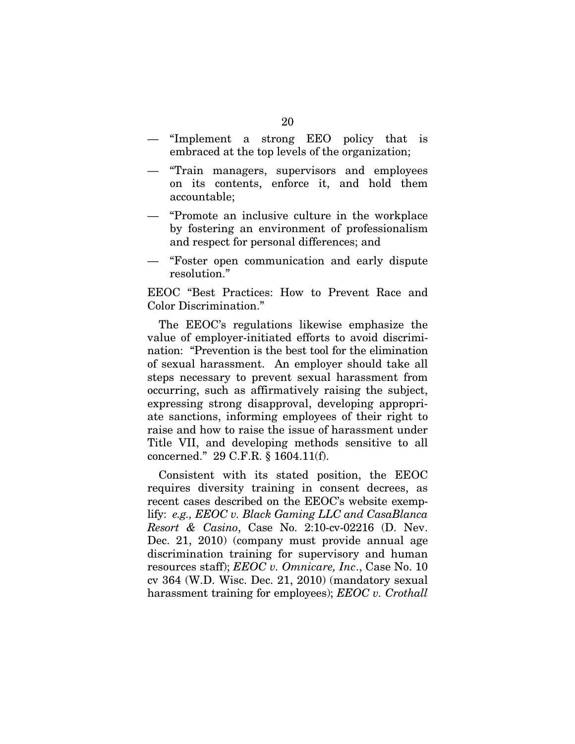- "Implement a strong EEO policy that is embraced at the top levels of the organization;
- "Train managers, supervisors and employees on its contents, enforce it, and hold them accountable;
- "Promote an inclusive culture in the workplace by fostering an environment of professionalism and respect for personal differences; and
- "Foster open communication and early dispute resolution."

EEOC "Best Practices: How to Prevent Race and Color Discrimination."

The EEOC's regulations likewise emphasize the value of employer-initiated efforts to avoid discrimination: "Prevention is the best tool for the elimination of sexual harassment. An employer should take all steps necessary to prevent sexual harassment from occurring, such as affirmatively raising the subject, expressing strong disapproval, developing appropriate sanctions, informing employees of their right to raise and how to raise the issue of harassment under Title VII, and developing methods sensitive to all concerned." 29 C.F.R. § 1604.11(f).

Consistent with its stated position, the EEOC requires diversity training in consent decrees, as recent cases described on the EEOC's website exemplify: *e.g., EEOC v. Black Gaming LLC and CasaBlanca Resort & Casino*, Case No. 2:10-cv-02216 (D. Nev. Dec. 21, 2010) (company must provide annual age discrimination training for supervisory and human resources staff); *EEOC v. Omnicare, Inc*., Case No. 10 cv 364 (W.D. Wisc. Dec. 21, 2010) (mandatory sexual harassment training for employees); *EEOC v. Crothall*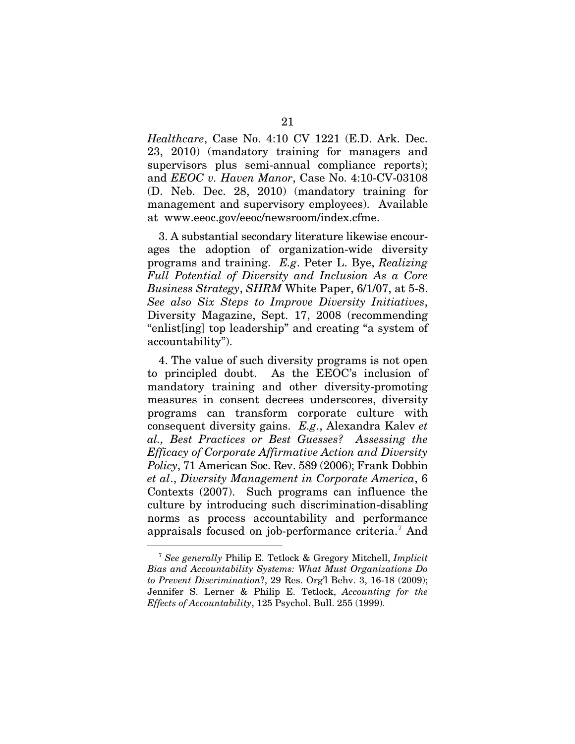*Healthcare*, Case No. 4:10 CV 1221 (E.D. Ark. Dec. 23, 2010) (mandatory training for managers and supervisors plus semi-annual compliance reports); and *EEOC v. Haven Manor*, Case No. 4:10-CV-03108 (D. Neb. Dec. 28, 2010) (mandatory training for management and supervisory employees). Available at www.eeoc.gov/eeoc/newsroom/index.cfme.

3. A substantial secondary literature likewise encourages the adoption of organization-wide diversity programs and training. *E.g*. Peter L. Bye, *Realizing Full Potential of Diversity and Inclusion As a Core Business Strategy*, *SHRM* White Paper, 6/1/07, at 5-8. *See also Six Steps to Improve Diversity Initiatives*, Diversity Magazine, Sept. 17, 2008 (recommending "enlist[ing] top leadership" and creating "a system of accountability").

4. The value of such diversity programs is not open to principled doubt. As the EEOC's inclusion of mandatory training and other diversity-promoting measures in consent decrees underscores, diversity programs can transform corporate culture with consequent diversity gains. *E.g*., Alexandra Kalev *et al., Best Practices or Best Guesses? Assessing the Efficacy of Corporate Affirmative Action and Diversity Policy*, 71 American Soc. Rev. 589 (2006); Frank Dobbin *et al*., *Diversity Management in Corporate America*, 6 Contexts (2007). Such programs can influence the culture by introducing such discrimination-disabling norms as process accountability and performance appraisals focused on job-performance criteria.<sup>[7](#page-27-0)</sup> And

<span id="page-27-0"></span> <sup>7</sup> *See generally* Philip E. Tetlock & Gregory Mitchell, *Implicit Bias and Accountability Systems: What Must Organizations Do to Prevent Discrimination*?, 29 Res. Org'l Behv. 3, 16-18 (2009); Jennifer S. Lerner & Philip E. Tetlock, *Accounting for the Effects of Accountability*, 125 Psychol. Bull. 255 (1999).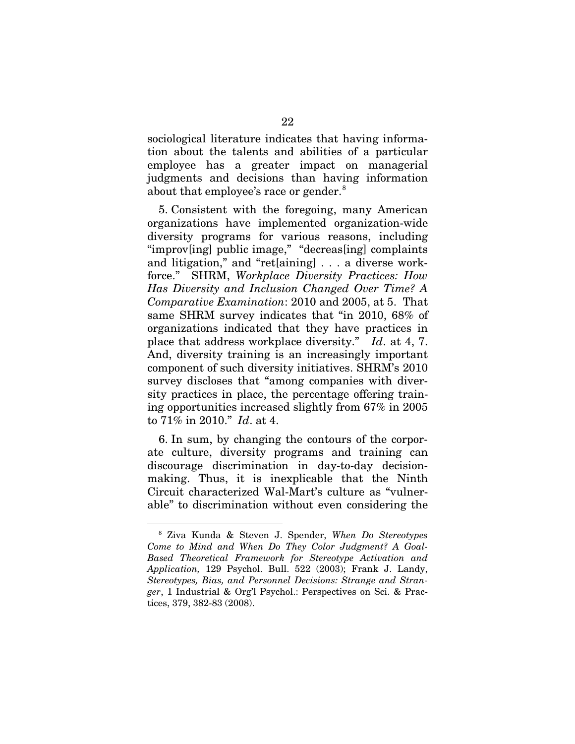sociological literature indicates that having information about the talents and abilities of a particular employee has a greater impact on managerial judgments and decisions than having information about that employee's race or gender.<sup>[8](#page-28-0)</sup>

5. Consistent with the foregoing, many American organizations have implemented organization-wide diversity programs for various reasons, including "improv[ing] public image," "decreas[ing] complaints and litigation," and "ret[aining] . . . a diverse workforce." SHRM, *Workplace Diversity Practices: How Has Diversity and Inclusion Changed Over Time? A Comparative Examination*: 2010 and 2005, at 5. That same SHRM survey indicates that "in 2010, 68% of organizations indicated that they have practices in place that address workplace diversity." *Id*. at 4, 7. And, diversity training is an increasingly important component of such diversity initiatives. SHRM's 2010 survey discloses that "among companies with diversity practices in place, the percentage offering training opportunities increased slightly from 67% in 2005 to 71% in 2010." *Id*. at 4.

6. In sum, by changing the contours of the corporate culture, diversity programs and training can discourage discrimination in day-to-day decisionmaking. Thus, it is inexplicable that the Ninth Circuit characterized Wal-Mart's culture as "vulnerable" to discrimination without even considering the

<span id="page-28-0"></span> <sup>8</sup> Ziva Kunda & Steven J. Spender, *When Do Stereotypes Come to Mind and When Do They Color Judgment? A Goal-Based Theoretical Framework for Stereotype Activation and Application,* 129 Psychol. Bull. 522 (2003); Frank J. Landy, *Stereotypes, Bias, and Personnel Decisions: Strange and Stranger*, 1 Industrial & Org'l Psychol.: Perspectives on Sci. & Practices, 379, 382-83 (2008).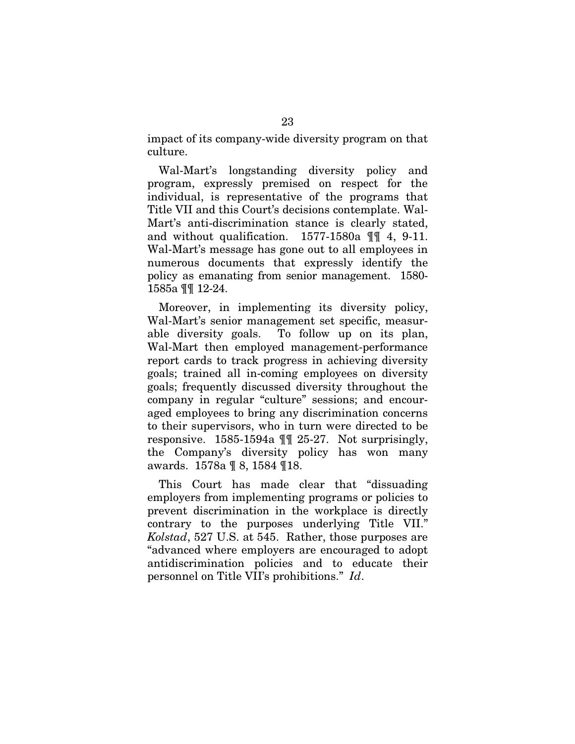impact of its company-wide diversity program on that culture.

Wal-Mart's longstanding diversity policy and program, expressly premised on respect for the individual, is representative of the programs that Title VII and this Court's decisions contemplate. Wal-Mart's anti-discrimination stance is clearly stated, and without qualification. 1577-1580a ¶¶ 4, 9-11. Wal-Mart's message has gone out to all employees in numerous documents that expressly identify the policy as emanating from senior management. 1580- 1585a ¶¶ 12-24.

Moreover, in implementing its diversity policy, Wal-Mart's senior management set specific, measurable diversity goals. To follow up on its plan, Wal-Mart then employed management-performance report cards to track progress in achieving diversity goals; trained all in-coming employees on diversity goals; frequently discussed diversity throughout the company in regular "culture" sessions; and encouraged employees to bring any discrimination concerns to their supervisors, who in turn were directed to be responsive. 1585-1594a ¶¶ 25-27. Not surprisingly, the Company's diversity policy has won many awards. 1578a ¶ 8, 1584 ¶18.

This Court has made clear that "dissuading employers from implementing programs or policies to prevent discrimination in the workplace is directly contrary to the purposes underlying Title VII." *Kolstad*, 527 U.S. at 545. Rather, those purposes are "advanced where employers are encouraged to adopt antidiscrimination policies and to educate their personnel on Title VII's prohibitions." *Id*.